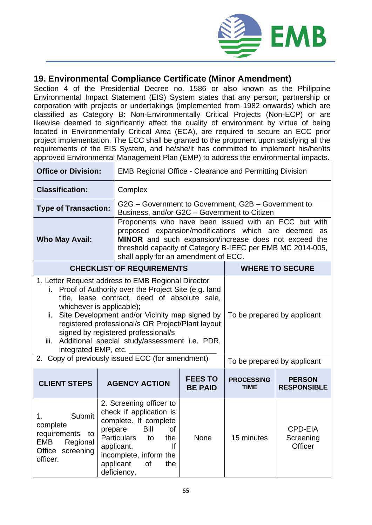

## **19. Environmental Compliance Certificate (Minor Amendment)**

Section 4 of the Presidential Decree no. 1586 or also known as the Philippine Environmental Impact Statement (EIS) System states that any person, partnership or corporation with projects or undertakings (implemented from 1982 onwards) which are classified as Category B: Non-Environmentally Critical Projects (Non-ECP) or are likewise deemed to significantly affect the quality of environment by virtue of being located in Environmentally Critical Area (ECA), are required to secure an ECC prior project implementation. The ECC shall be granted to the proponent upon satisfying all the requirements of the EIS System, and he/she/it has committed to implement his/her/its approved Environmental Management Plan (EMP) to address the environmental impacts.

| <b>Office or Division:</b>                                                                                                                                                                                                                                                                                                                                                                                                       |                                                                                                                                                                                                                                                     | <b>EMB Regional Office - Clearance and Permitting Division</b>                                                                                                                                                                                                                        |                                  |                                        |  |  |
|----------------------------------------------------------------------------------------------------------------------------------------------------------------------------------------------------------------------------------------------------------------------------------------------------------------------------------------------------------------------------------------------------------------------------------|-----------------------------------------------------------------------------------------------------------------------------------------------------------------------------------------------------------------------------------------------------|---------------------------------------------------------------------------------------------------------------------------------------------------------------------------------------------------------------------------------------------------------------------------------------|----------------------------------|----------------------------------------|--|--|
| <b>Classification:</b>                                                                                                                                                                                                                                                                                                                                                                                                           | Complex                                                                                                                                                                                                                                             |                                                                                                                                                                                                                                                                                       |                                  |                                        |  |  |
| <b>Type of Transaction:</b>                                                                                                                                                                                                                                                                                                                                                                                                      |                                                                                                                                                                                                                                                     | G2G - Government to Government, G2B - Government to<br>Business, and/or G2C - Government to Citizen                                                                                                                                                                                   |                                  |                                        |  |  |
| <b>Who May Avail:</b>                                                                                                                                                                                                                                                                                                                                                                                                            |                                                                                                                                                                                                                                                     | Proponents who have been issued with an ECC but with<br>proposed expansion/modifications which are deemed<br><b>as</b><br>MINOR and such expansion/increase does not exceed the<br>threshold capacity of Category B-IEEC per EMB MC 2014-005,<br>shall apply for an amendment of ECC. |                                  |                                        |  |  |
| <b>CHECKLIST OF REQUIREMENTS</b>                                                                                                                                                                                                                                                                                                                                                                                                 |                                                                                                                                                                                                                                                     |                                                                                                                                                                                                                                                                                       | <b>WHERE TO SECURE</b>           |                                        |  |  |
| 1. Letter Request address to EMB Regional Director<br>Proof of Authority over the Project Site (e.g. land<br>i.<br>title, lease contract, deed of absolute sale.<br>whichever is applicable);<br>Site Development and/or Vicinity map signed by<br>ii.<br>registered professional/s OR Project/Plant layout<br>signed by registered professional/s<br>iii. Additional special study/assessment i.e. PDR,<br>integrated EMP, etc. |                                                                                                                                                                                                                                                     |                                                                                                                                                                                                                                                                                       | To be prepared by applicant      |                                        |  |  |
| 2. Copy of previously issued ECC (for amendment)                                                                                                                                                                                                                                                                                                                                                                                 |                                                                                                                                                                                                                                                     |                                                                                                                                                                                                                                                                                       | To be prepared by applicant      |                                        |  |  |
| <b>CLIENT STEPS</b>                                                                                                                                                                                                                                                                                                                                                                                                              | <b>AGENCY ACTION</b>                                                                                                                                                                                                                                | <b>FEES TO</b><br><b>BE PAID</b>                                                                                                                                                                                                                                                      | <b>PROCESSING</b><br><b>TIME</b> | <b>PERSON</b><br><b>RESPONSIBLE</b>    |  |  |
| Submit<br>1.<br>complete<br>requirements<br>to<br>EMB<br>Regional<br>Office screening<br>officer.                                                                                                                                                                                                                                                                                                                                | 2. Screening officer to<br>check if application is<br>complete. If complete<br><b>Bill</b><br>prepare<br><b>of</b><br><b>Particulars</b><br>to<br>the<br>applicant.<br><b>If</b><br>incomplete, inform the<br>applicant<br>of<br>the<br>deficiency. | <b>None</b>                                                                                                                                                                                                                                                                           | 15 minutes                       | <b>CPD-EIA</b><br>Screening<br>Officer |  |  |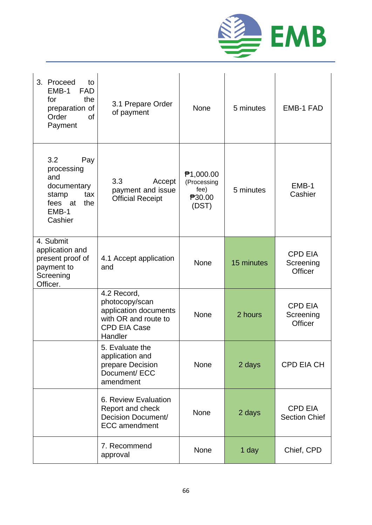

| 3. Proceed<br>to<br>EMB-1<br><b>FAD</b><br>for<br>the<br>preparation of<br>Order<br><sub>of</sub><br>Payment | 3.1 Prepare Order<br>of payment                                                                                  | <b>None</b>                                                | 5 minutes  | <b>EMB-1 FAD</b>                              |
|--------------------------------------------------------------------------------------------------------------|------------------------------------------------------------------------------------------------------------------|------------------------------------------------------------|------------|-----------------------------------------------|
| 3.2<br>Pay<br>processing<br>and<br>documentary<br>stamp<br>tax<br>the<br>fees at<br>EMB-1<br>Cashier         | 3.3<br>Accept<br>payment and issue<br><b>Official Receipt</b>                                                    | ₱1,000.00<br>(Processing<br>fee)<br><b>730.00</b><br>(DST) | 5 minutes  | EMB-1<br>Cashier                              |
| 4. Submit<br>application and<br>present proof of<br>payment to<br>Screening<br>Officer.                      | 4.1 Accept application<br>and                                                                                    | <b>None</b>                                                | 15 minutes | <b>CPD EIA</b><br>Screening<br><b>Officer</b> |
|                                                                                                              | 4.2 Record,<br>photocopy/scan<br>application documents<br>with OR and route to<br><b>CPD EIA Case</b><br>Handler | <b>None</b>                                                | 2 hours    | <b>CPD EIA</b><br>Screening<br><b>Officer</b> |
|                                                                                                              | 5. Evaluate the<br>application and<br>prepare Decision<br>Document/ ECC<br>amendment                             | None                                                       | 2 days     | CPD EIA CH                                    |
|                                                                                                              | 6. Review Evaluation<br>Report and check<br>Decision Document/<br><b>ECC</b> amendment                           | <b>None</b>                                                | 2 days     | <b>CPD EIA</b><br><b>Section Chief</b>        |
|                                                                                                              | 7. Recommend<br>approval                                                                                         | None                                                       | 1 day      | Chief, CPD                                    |